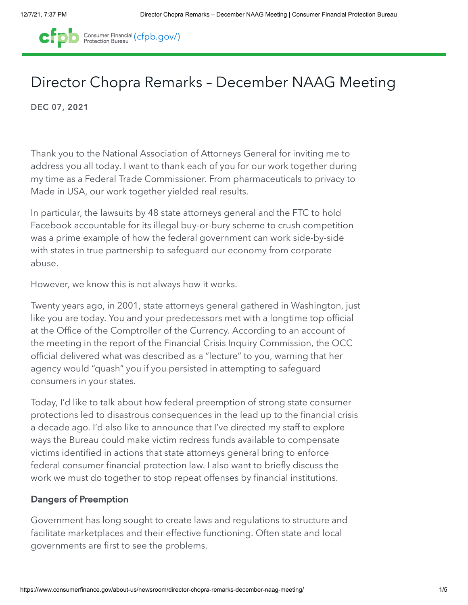

# Director Chopra Remarks – December NAAG Meeting

DEC 07, 2021

Thank you to the National Association of Attorneys General for inviting me to address you all today. I want to thank each of you for our work together during my time as a Federal Trade Commissioner. From pharmaceuticals to privacy to Made in USA, our work together yielded real results.

In particular, the lawsuits by 48 state attorneys general and the FTC to hold Facebook accountable for its illegal buy-or-bury scheme to crush competition was a prime example of how the federal government can work side-by-side with states in true partnership to safeguard our economy from corporate abuse.

However, we know this is not always how it works.

Twenty years ago, in 2001, state attorneys general gathered in Washington, just like you are today. You and your predecessors met with a longtime top official at the Office of the Comptroller of the Currency. According to an account of the meeting in the report of the Financial Crisis Inquiry Commission, the OCC official delivered what was described as a "lecture" to you, warning that her agency would "quash" you if you persisted in attempting to safeguard consumers in your states.

Today, I'd like to talk about how federal preemption of strong state consumer protections led to disastrous consequences in the lead up to the financial crisis a decade ago. I'd also like to announce that I've directed my staff to explore ways the Bureau could make victim redress funds available to compensate victims identified in actions that state attorneys general bring to enforce federal consumer financial protection law. I also want to briefly discuss the work we must do together to stop repeat offenses by financial institutions.

## Dangers of Preemption

Government has long sought to create laws and regulations to structure and facilitate marketplaces and their effective functioning. Often state and local governments are first to see the problems.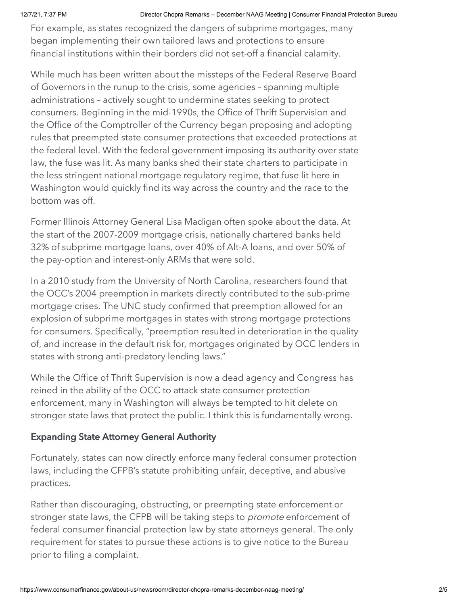For example, as states recognized the dangers of subprime mortgages, many began implementing their own tailored laws and protections to ensure financial institutions within their borders did not set-off a financial calamity.

While much has been written about the missteps of the Federal Reserve Board of Governors in the runup to the crisis, some agencies – spanning multiple administrations – actively sought to undermine states seeking to protect consumers. Beginning in the mid-1990s, the Office of Thrift Supervision and the Office of the Comptroller of the Currency began proposing and adopting rules that preempted state consumer protections that exceeded protections at the federal level. With the federal government imposing its authority over state law, the fuse was lit. As many banks shed their state charters to participate in the less stringent national mortgage regulatory regime, that fuse lit here in Washington would quickly find its way across the country and the race to the bottom was off.

Former Illinois Attorney General Lisa Madigan often spoke about the data. At the start of the 2007-2009 mortgage crisis, nationally chartered banks held 32% of subprime mortgage loans, over 40% of Alt-A loans, and over 50% of the pay-option and interest-only ARMs that were sold.

In a 2010 study from the University of North Carolina, researchers found that the OCC's 2004 preemption in markets directly contributed to the sub-prime mortgage crises. The UNC study confirmed that preemption allowed for an explosion of subprime mortgages in states with strong mortgage protections for consumers. Specifically, "preemption resulted in deterioration in the quality of, and increase in the default risk for, mortgages originated by OCC lenders in states with strong anti-predatory lending laws."

While the Office of Thrift Supervision is now a dead agency and Congress has reined in the ability of the OCC to attack state consumer protection enforcement, many in Washington will always be tempted to hit delete on stronger state laws that protect the public. I think this is fundamentally wrong.

## Expanding State Attorney General Authority

Fortunately, states can now directly enforce many federal consumer protection laws, including the CFPB's statute prohibiting unfair, deceptive, and abusive practices.

Rather than discouraging, obstructing, or preempting state enforcement or stronger state laws, the CFPB will be taking steps to *promote* enforcement of federal consumer financial protection law by state attorneys general. The only requirement for states to pursue these actions is to give notice to the Bureau prior to filing a complaint.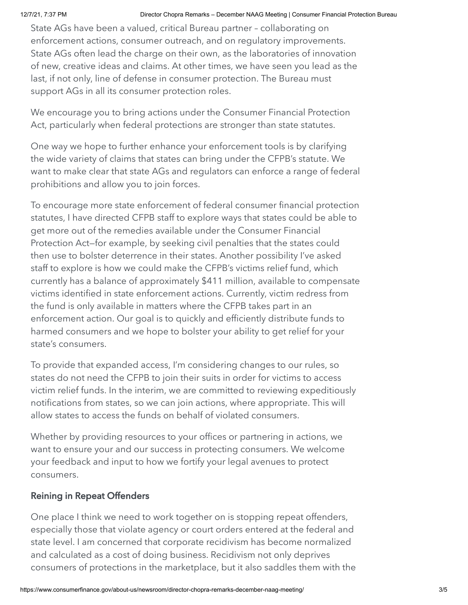State AGs have been a valued, critical Bureau partner – collaborating on enforcement actions, consumer outreach, and on regulatory improvements. State AGs often lead the charge on their own, as the laboratories of innovation of new, creative ideas and claims. At other times, we have seen you lead as the last, if not only, line of defense in consumer protection. The Bureau must support AGs in all its consumer protection roles.

We encourage you to bring actions under the Consumer Financial Protection Act, particularly when federal protections are stronger than state statutes.

One way we hope to further enhance your enforcement tools is by clarifying the wide variety of claims that states can bring under the CFPB's statute. We want to make clear that state AGs and regulators can enforce a range of federal prohibitions and allow you to join forces.

To encourage more state enforcement of federal consumer financial protection statutes, I have directed CFPB staff to explore ways that states could be able to get more out of the remedies available under the Consumer Financial Protection Act—for example, by seeking civil penalties that the states could then use to bolster deterrence in their states. Another possibility I've asked staff to explore is how we could make the CFPB's victims relief fund, which currently has a balance of approximately \$411 million, available to compensate victims identified in state enforcement actions. Currently, victim redress from the fund is only available in matters where the CFPB takes part in an enforcement action. Our goal is to quickly and efficiently distribute funds to harmed consumers and we hope to bolster your ability to get relief for your state's consumers.

To provide that expanded access, I'm considering changes to our rules, so states do not need the CFPB to join their suits in order for victims to access victim relief funds. In the interim, we are committed to reviewing expeditiously notifications from states, so we can join actions, where appropriate. This will allow states to access the funds on behalf of violated consumers.

Whether by providing resources to your offices or partnering in actions, we want to ensure your and our success in protecting consumers. We welcome your feedback and input to how we fortify your legal avenues to protect consumers.

## Reining in Repeat Offenders

One place I think we need to work together on is stopping repeat offenders, especially those that violate agency or court orders entered at the federal and state level. I am concerned that corporate recidivism has become normalized and calculated as a cost of doing business. Recidivism not only deprives consumers of protections in the marketplace, but it also saddles them with the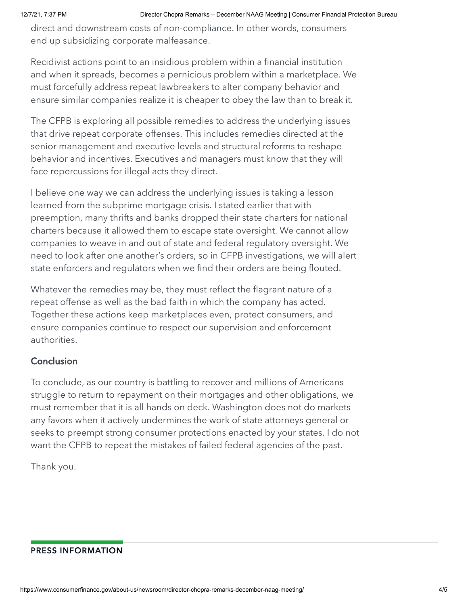direct and downstream costs of non-compliance. In other words, consumers end up subsidizing corporate malfeasance.

Recidivist actions point to an insidious problem within a financial institution and when it spreads, becomes a pernicious problem within a marketplace. We must forcefully address repeat lawbreakers to alter company behavior and ensure similar companies realize it is cheaper to obey the law than to break it.

The CFPB is exploring all possible remedies to address the underlying issues that drive repeat corporate offenses. This includes remedies directed at the senior management and executive levels and structural reforms to reshape behavior and incentives. Executives and managers must know that they will face repercussions for illegal acts they direct.

I believe one way we can address the underlying issues is taking a lesson learned from the subprime mortgage crisis. I stated earlier that with preemption, many thrifts and banks dropped their state charters for national charters because it allowed them to escape state oversight. We cannot allow companies to weave in and out of state and federal regulatory oversight. We need to look after one another's orders, so in CFPB investigations, we will alert state enforcers and regulators when we find their orders are being flouted.

Whatever the remedies may be, they must reflect the flagrant nature of a repeat offense as well as the bad faith in which the company has acted. Together these actions keep marketplaces even, protect consumers, and ensure companies continue to respect our supervision and enforcement authorities.

## **Conclusion**

To conclude, as our country is battling to recover and millions of Americans struggle to return to repayment on their mortgages and other obligations, we must remember that it is all hands on deck. Washington does not do markets any favors when it actively undermines the work of state attorneys general or seeks to preempt strong consumer protections enacted by your states. I do not want the CFPB to repeat the mistakes of failed federal agencies of the past.

Thank you.

### PRESS INFORMATION